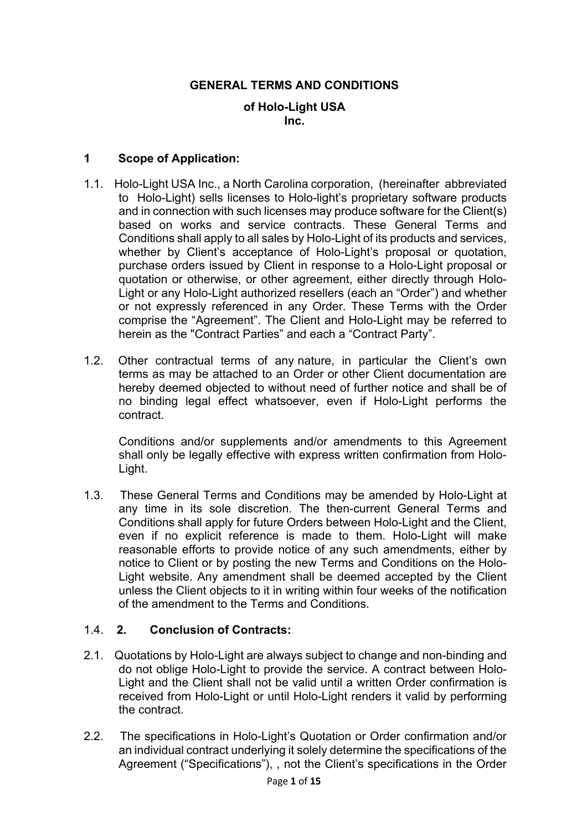# **GENERAL TERMS AND CONDITIONS**

### **of Holo-Light USA Inc.**

#### **1 Scope of Application:**

- 1.1. Holo-Light USA Inc., a North Carolina corporation, (hereinafter abbreviated to Holo-Light) sells licenses to Holo-light's proprietary software products and in connection with such licenses may produce software for the Client(s) based on works and service contracts. These General Terms and Conditions shall apply to all sales by Holo-Light of its products and services, whether by Client's acceptance of Holo-Light's proposal or quotation, purchase orders issued by Client in response to a Holo-Light proposal or quotation or otherwise, or other agreement, either directly through Holo-Light or any Holo-Light authorized resellers (each an "Order") and whether or not expressly referenced in any Order. These Terms with the Order comprise the "Agreement". The Client and Holo-Light may be referred to herein as the "Contract Parties" and each a "Contract Party".
- 1.2. Other contractual terms of any nature, in particular the Client's own terms as may be attached to an Order or other Client documentation are hereby deemed objected to without need of further notice and shall be of no binding legal effect whatsoever, even if Holo-Light performs the contract.

Conditions and/or supplements and/or amendments to this Agreement shall only be legally effective with express written confirmation from Holo-Light.

1.3. These General Terms and Conditions may be amended by Holo-Light at any time in its sole discretion. The then-current General Terms and Conditions shall apply for future Orders between Holo-Light and the Client, even if no explicit reference is made to them. Holo-Light will make reasonable efforts to provide notice of any such amendments, either by notice to Client or by posting the new Terms and Conditions on the Holo-Light website. Any amendment shall be deemed accepted by the Client unless the Client objects to it in writing within four weeks of the notification of the amendment to the Terms and Conditions.

### 1.4. **2. Conclusion of Contracts:**

- 2.1. Quotations by Holo-Light are always subject to change and non-binding and do not oblige Holo-Light to provide the service. A contract between Holo-Light and the Client shall not be valid until a written Order confirmation is received from Holo-Light or until Holo-Light renders it valid by performing the contract.
- 2.2. The specifications in Holo-Light's Quotation or Order confirmation and/or an individual contract underlying it solely determine the specifications of the Agreement ("Specifications"), , not the Client's specifications in the Order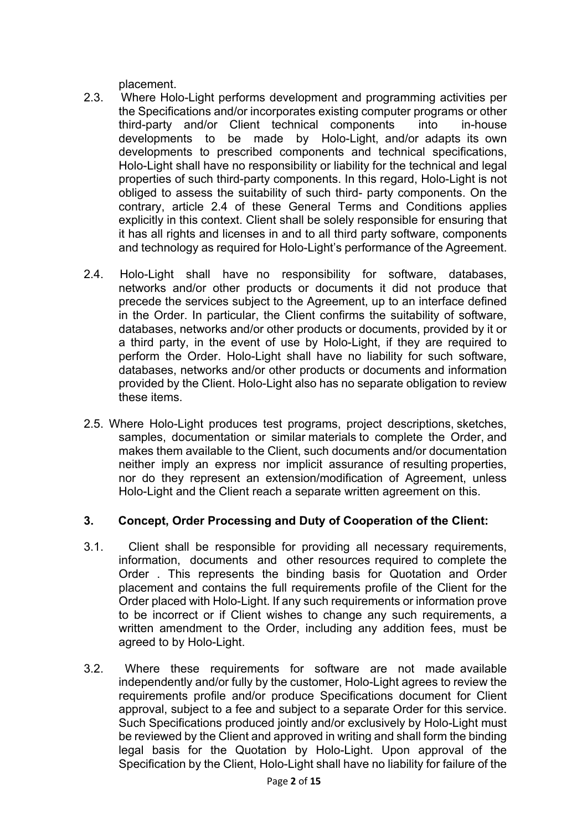placement.

- 2.3. Where Holo-Light performs development and programming activities per the Specifications and/or incorporates existing computer programs or other third-party and/or Client technical components into in-house developments to be made by Holo-Light, and/or adapts its own developments to prescribed components and technical specifications, Holo-Light shall have no responsibility or liability for the technical and legal properties of such third-party components. In this regard, Holo-Light is not obliged to assess the suitability of such third- party components. On the contrary, article 2.4 of these General Terms and Conditions applies explicitly in this context. Client shall be solely responsible for ensuring that it has all rights and licenses in and to all third party software, components and technology as required for Holo-Light's performance of the Agreement.
- 2.4. Holo-Light shall have no responsibility for software, databases, networks and/or other products or documents it did not produce that precede the services subject to the Agreement, up to an interface defined in the Order. In particular, the Client confirms the suitability of software, databases, networks and/or other products or documents, provided by it or a third party, in the event of use by Holo-Light, if they are required to perform the Order. Holo-Light shall have no liability for such software, databases, networks and/or other products or documents and information provided by the Client. Holo-Light also has no separate obligation to review these items.
- 2.5. Where Holo-Light produces test programs, project descriptions, sketches, samples, documentation or similar materials to complete the Order, and makes them available to the Client, such documents and/or documentation neither imply an express nor implicit assurance of resulting properties, nor do they represent an extension/modification of Agreement, unless Holo-Light and the Client reach a separate written agreement on this.

## **3. Concept, Order Processing and Duty of Cooperation of the Client:**

- 3.1. Client shall be responsible for providing all necessary requirements, information, documents and other resources required to complete the Order . This represents the binding basis for Quotation and Order placement and contains the full requirements profile of the Client for the Order placed with Holo-Light. If any such requirements or information prove to be incorrect or if Client wishes to change any such requirements, a written amendment to the Order, including any addition fees, must be agreed to by Holo-Light.
- 3.2. Where these requirements for software are not made available independently and/or fully by the customer, Holo-Light agrees to review the requirements profile and/or produce Specifications document for Client approval, subject to a fee and subject to a separate Order for this service. Such Specifications produced jointly and/or exclusively by Holo-Light must be reviewed by the Client and approved in writing and shall form the binding legal basis for the Quotation by Holo-Light. Upon approval of the Specification by the Client, Holo-Light shall have no liability for failure of the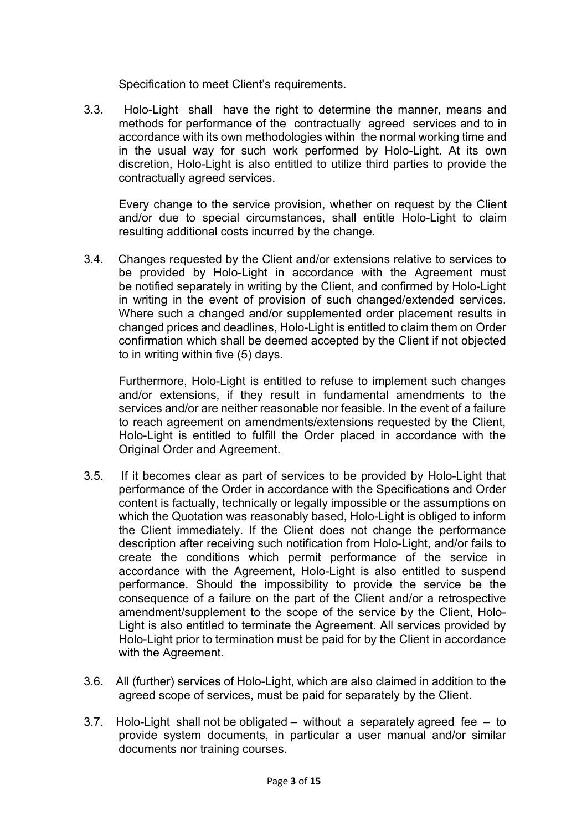Specification to meet Client's requirements.

3.3. Holo-Light shall have the right to determine the manner, means and methods for performance of the contractually agreed services and to in accordance with its own methodologies within the normal working time and in the usual way for such work performed by Holo-Light. At its own discretion, Holo-Light is also entitled to utilize third parties to provide the contractually agreed services.

Every change to the service provision, whether on request by the Client and/or due to special circumstances, shall entitle Holo-Light to claim resulting additional costs incurred by the change.

3.4. Changes requested by the Client and/or extensions relative to services to be provided by Holo-Light in accordance with the Agreement must be notified separately in writing by the Client, and confirmed by Holo-Light in writing in the event of provision of such changed/extended services. Where such a changed and/or supplemented order placement results in changed prices and deadlines, Holo-Light is entitled to claim them on Order confirmation which shall be deemed accepted by the Client if not objected to in writing within five (5) days.

Furthermore, Holo-Light is entitled to refuse to implement such changes and/or extensions, if they result in fundamental amendments to the services and/or are neither reasonable nor feasible. In the event of a failure to reach agreement on amendments/extensions requested by the Client, Holo-Light is entitled to fulfill the Order placed in accordance with the Original Order and Agreement.

- 3.5. If it becomes clear as part of services to be provided by Holo-Light that performance of the Order in accordance with the Specifications and Order content is factually, technically or legally impossible or the assumptions on which the Quotation was reasonably based, Holo-Light is obliged to inform the Client immediately. If the Client does not change the performance description after receiving such notification from Holo-Light, and/or fails to create the conditions which permit performance of the service in accordance with the Agreement, Holo-Light is also entitled to suspend performance. Should the impossibility to provide the service be the consequence of a failure on the part of the Client and/or a retrospective amendment/supplement to the scope of the service by the Client, Holo-Light is also entitled to terminate the Agreement. All services provided by Holo-Light prior to termination must be paid for by the Client in accordance with the Agreement.
- 3.6. All (further) services of Holo-Light, which are also claimed in addition to the agreed scope of services, must be paid for separately by the Client.
- 3.7. Holo-Light shall not be obligated without a separately agreed fee to provide system documents, in particular a user manual and/or similar documents nor training courses.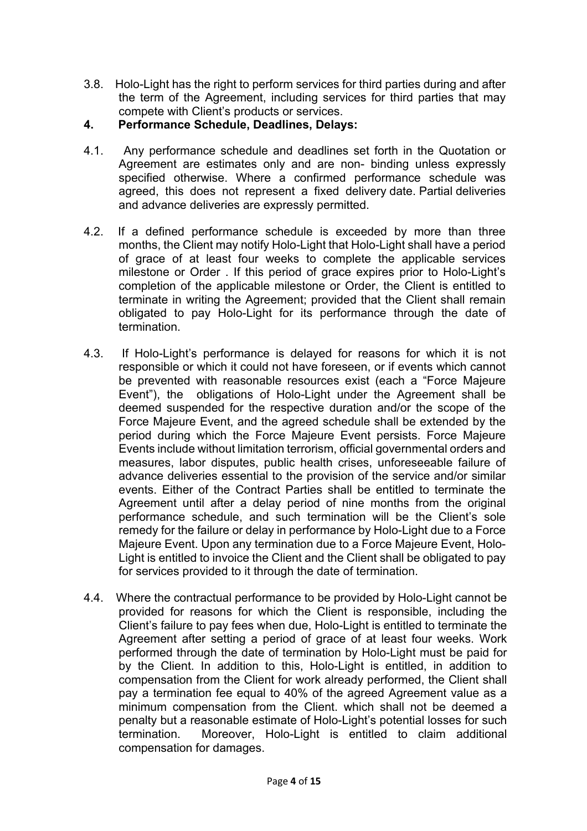3.8. Holo-Light has the right to perform services for third parties during and after the term of the Agreement, including services for third parties that may compete with Client's products or services.

# **4. Performance Schedule, Deadlines, Delays:**

- 4.1. Any performance schedule and deadlines set forth in the Quotation or Agreement are estimates only and are non- binding unless expressly specified otherwise. Where a confirmed performance schedule was agreed, this does not represent a fixed delivery date. Partial deliveries and advance deliveries are expressly permitted.
- 4.2. If a defined performance schedule is exceeded by more than three months, the Client may notify Holo-Light that Holo-Light shall have a period of grace of at least four weeks to complete the applicable services milestone or Order . If this period of grace expires prior to Holo-Light's completion of the applicable milestone or Order, the Client is entitled to terminate in writing the Agreement; provided that the Client shall remain obligated to pay Holo-Light for its performance through the date of termination.
- 4.3. If Holo-Light's performance is delayed for reasons for which it is not responsible or which it could not have foreseen, or if events which cannot be prevented with reasonable resources exist (each a "Force Majeure Event"), the obligations of Holo-Light under the Agreement shall be deemed suspended for the respective duration and/or the scope of the Force Majeure Event, and the agreed schedule shall be extended by the period during which the Force Majeure Event persists. Force Majeure Events include without limitation terrorism, official governmental orders and measures, labor disputes, public health crises, unforeseeable failure of advance deliveries essential to the provision of the service and/or similar events. Either of the Contract Parties shall be entitled to terminate the Agreement until after a delay period of nine months from the original performance schedule, and such termination will be the Client's sole remedy for the failure or delay in performance by Holo-Light due to a Force Majeure Event. Upon any termination due to a Force Majeure Event, Holo-Light is entitled to invoice the Client and the Client shall be obligated to pay for services provided to it through the date of termination.
- 4.4. Where the contractual performance to be provided by Holo-Light cannot be provided for reasons for which the Client is responsible, including the Client's failure to pay fees when due, Holo-Light is entitled to terminate the Agreement after setting a period of grace of at least four weeks. Work performed through the date of termination by Holo-Light must be paid for by the Client. In addition to this, Holo-Light is entitled, in addition to compensation from the Client for work already performed, the Client shall pay a termination fee equal to 40% of the agreed Agreement value as a minimum compensation from the Client. which shall not be deemed a penalty but a reasonable estimate of Holo-Light's potential losses for such termination. Moreover, Holo-Light is entitled to claim additional compensation for damages.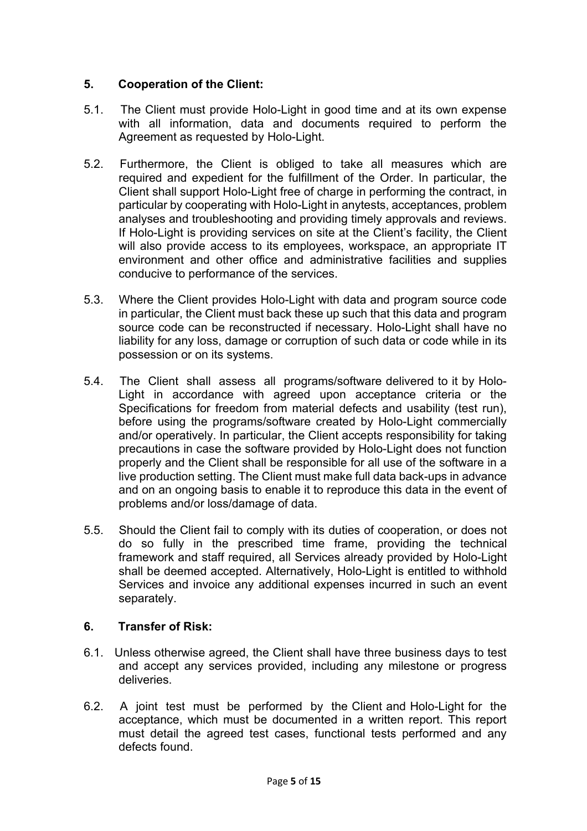# **5. Cooperation of the Client:**

- 5.1. The Client must provide Holo-Light in good time and at its own expense with all information, data and documents required to perform the Agreement as requested by Holo-Light.
- 5.2. Furthermore, the Client is obliged to take all measures which are required and expedient for the fulfillment of the Order. In particular, the Client shall support Holo-Light free of charge in performing the contract, in particular by cooperating with Holo-Light in anytests, acceptances, problem analyses and troubleshooting and providing timely approvals and reviews. If Holo-Light is providing services on site at the Client's facility, the Client will also provide access to its employees, workspace, an appropriate IT environment and other office and administrative facilities and supplies conducive to performance of the services.
- 5.3. Where the Client provides Holo-Light with data and program source code in particular, the Client must back these up such that this data and program source code can be reconstructed if necessary. Holo-Light shall have no liability for any loss, damage or corruption of such data or code while in its possession or on its systems.
- 5.4. The Client shall assess all programs/software delivered to it by Holo-Light in accordance with agreed upon acceptance criteria or the Specifications for freedom from material defects and usability (test run), before using the programs/software created by Holo-Light commercially and/or operatively. In particular, the Client accepts responsibility for taking precautions in case the software provided by Holo-Light does not function properly and the Client shall be responsible for all use of the software in a live production setting. The Client must make full data back-ups in advance and on an ongoing basis to enable it to reproduce this data in the event of problems and/or loss/damage of data.
- 5.5. Should the Client fail to comply with its duties of cooperation, or does not do so fully in the prescribed time frame, providing the technical framework and staff required, all Services already provided by Holo-Light shall be deemed accepted. Alternatively, Holo-Light is entitled to withhold Services and invoice any additional expenses incurred in such an event separately.

## **6. Transfer of Risk:**

- 6.1. Unless otherwise agreed, the Client shall have three business days to test and accept any services provided, including any milestone or progress deliveries.
- 6.2. A joint test must be performed by the Client and Holo-Light for the acceptance, which must be documented in a written report. This report must detail the agreed test cases, functional tests performed and any defects found.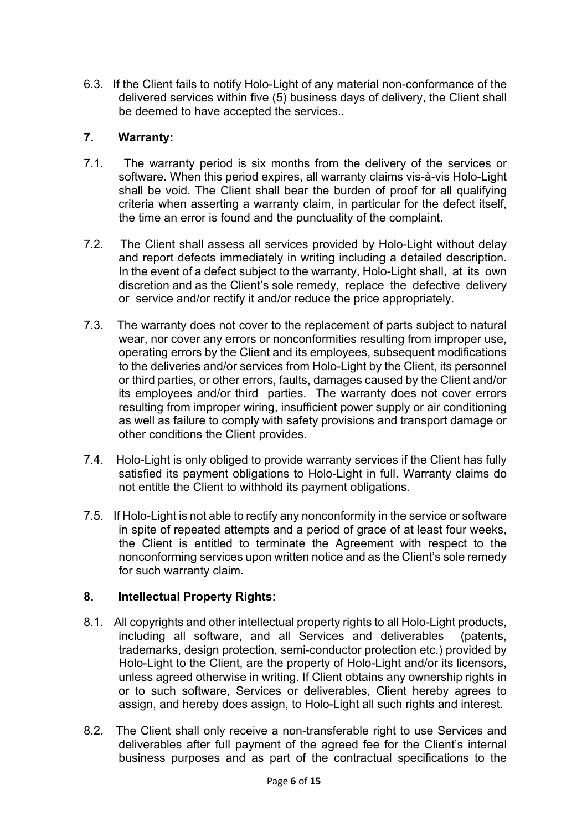6.3. If the Client fails to notify Holo-Light of any material non-conformance of the delivered services within five (5) business days of delivery, the Client shall be deemed to have accepted the services..

# **7. Warranty:**

- 7.1. The warranty period is six months from the delivery of the services or software. When this period expires, all warranty claims vis-à-vis Holo-Light shall be void. The Client shall bear the burden of proof for all qualifying criteria when asserting a warranty claim, in particular for the defect itself, the time an error is found and the punctuality of the complaint.
- 7.2. The Client shall assess all services provided by Holo-Light without delay and report defects immediately in writing including a detailed description. In the event of a defect subject to the warranty, Holo-Light shall, at its own discretion and as the Client's sole remedy, replace the defective delivery or service and/or rectify it and/or reduce the price appropriately.
- 7.3. The warranty does not cover to the replacement of parts subject to natural wear, nor cover any errors or nonconformities resulting from improper use, operating errors by the Client and its employees, subsequent modifications to the deliveries and/or services from Holo-Light by the Client, its personnel or third parties, or other errors, faults, damages caused by the Client and/or its employees and/or third parties. The warranty does not cover errors resulting from improper wiring, insufficient power supply or air conditioning as well as failure to comply with safety provisions and transport damage or other conditions the Client provides.
- 7.4. Holo-Light is only obliged to provide warranty services if the Client has fully satisfied its payment obligations to Holo-Light in full. Warranty claims do not entitle the Client to withhold its payment obligations.
- 7.5. If Holo-Light is not able to rectify any nonconformity in the service or software in spite of repeated attempts and a period of grace of at least four weeks, the Client is entitled to terminate the Agreement with respect to the nonconforming services upon written notice and as the Client's sole remedy for such warranty claim.

## **8. Intellectual Property Rights:**

- 8.1. All copyrights and other intellectual property rights to all Holo-Light products, including all software, and all Services and deliverables (patents, trademarks, design protection, semi-conductor protection etc.) provided by Holo-Light to the Client, are the property of Holo-Light and/or its licensors, unless agreed otherwise in writing. If Client obtains any ownership rights in or to such software, Services or deliverables, Client hereby agrees to assign, and hereby does assign, to Holo-Light all such rights and interest.
- 8.2. The Client shall only receive a non-transferable right to use Services and deliverables after full payment of the agreed fee for the Client's internal business purposes and as part of the contractual specifications to the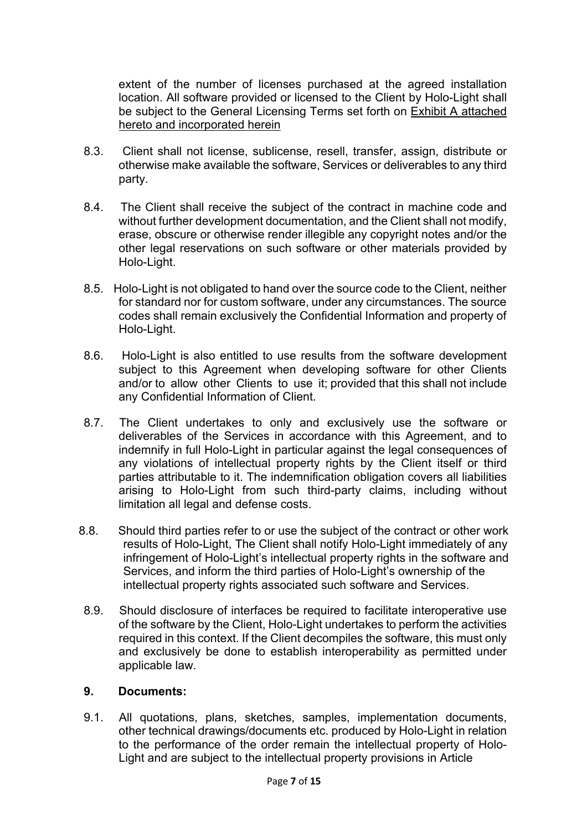extent of the number of licenses purchased at the agreed installation location. All software provided or licensed to the Client by Holo-Light shall be subject to the General Licensing Terms set forth on Exhibit A attached hereto and incorporated herein

- 8.3. Client shall not license, sublicense, resell, transfer, assign, distribute or otherwise make available the software, Services or deliverables to any third party.
- 8.4. The Client shall receive the subject of the contract in machine code and without further development documentation, and the Client shall not modify, erase, obscure or otherwise render illegible any copyright notes and/or the other legal reservations on such software or other materials provided by Holo-Light.
- 8.5. Holo-Light is not obligated to hand over the source code to the Client, neither for standard nor for custom software, under any circumstances. The source codes shall remain exclusively the Confidential Information and property of Holo-Light.
- 8.6. Holo-Light is also entitled to use results from the software development subject to this Agreement when developing software for other Clients and/or to allow other Clients to use it; provided that this shall not include any Confidential Information of Client.
- 8.7. The Client undertakes to only and exclusively use the software or deliverables of the Services in accordance with this Agreement, and to indemnify in full Holo-Light in particular against the legal consequences of any violations of intellectual property rights by the Client itself or third parties attributable to it. The indemnification obligation covers all liabilities arising to Holo-Light from such third-party claims, including without limitation all legal and defense costs.
- 8.8. Should third parties refer to or use the subject of the contract or other work results of Holo-Light, The Client shall notify Holo-Light immediately of any infringement of Holo-Light's intellectual property rights in the software and Services, and inform the third parties of Holo-Light's ownership of the intellectual property rights associated such software and Services.
- 8.9. Should disclosure of interfaces be required to facilitate interoperative use of the software by the Client, Holo-Light undertakes to perform the activities required in this context. If the Client decompiles the software, this must only and exclusively be done to establish interoperability as permitted under applicable law.

## **9. Documents:**

9.1. All quotations, plans, sketches, samples, implementation documents, other technical drawings/documents etc. produced by Holo-Light in relation to the performance of the order remain the intellectual property of Holo-Light and are subject to the intellectual property provisions in Article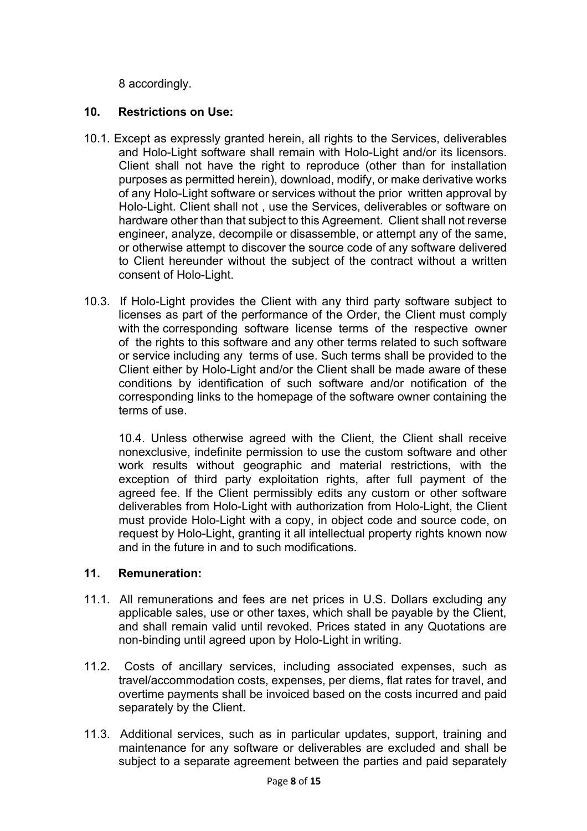8 accordingly.

# **10. Restrictions on Use:**

- 10.1. Except as expressly granted herein, all rights to the Services, deliverables and Holo-Light software shall remain with Holo-Light and/or its licensors. Client shall not have the right to reproduce (other than for installation purposes as permitted herein), download, modify, or make derivative works of any Holo-Light software or services without the prior written approval by Holo-Light. Client shall not , use the Services, deliverables or software on hardware other than that subject to this Agreement. Client shall not reverse engineer, analyze, decompile or disassemble, or attempt any of the same, or otherwise attempt to discover the source code of any software delivered to Client hereunder without the subject of the contract without a written consent of Holo-Light.
- 10.3. If Holo-Light provides the Client with any third party software subject to licenses as part of the performance of the Order, the Client must comply with the corresponding software license terms of the respective owner of the rights to this software and any other terms related to such software or service including any terms of use. Such terms shall be provided to the Client either by Holo-Light and/or the Client shall be made aware of these conditions by identification of such software and/or notification of the corresponding links to the homepage of the software owner containing the terms of use.

10.4. Unless otherwise agreed with the Client, the Client shall receive nonexclusive, indefinite permission to use the custom software and other work results without geographic and material restrictions, with the exception of third party exploitation rights, after full payment of the agreed fee. If the Client permissibly edits any custom or other software deliverables from Holo-Light with authorization from Holo-Light, the Client must provide Holo-Light with a copy, in object code and source code, on request by Holo-Light, granting it all intellectual property rights known now and in the future in and to such modifications.

## **11. Remuneration:**

- 11.1. All remunerations and fees are net prices in U.S. Dollars excluding any applicable sales, use or other taxes, which shall be payable by the Client, and shall remain valid until revoked. Prices stated in any Quotations are non-binding until agreed upon by Holo-Light in writing.
- 11.2. Costs of ancillary services, including associated expenses, such as travel/accommodation costs, expenses, per diems, flat rates for travel, and overtime payments shall be invoiced based on the costs incurred and paid separately by the Client.
- 11.3. Additional services, such as in particular updates, support, training and maintenance for any software or deliverables are excluded and shall be subject to a separate agreement between the parties and paid separately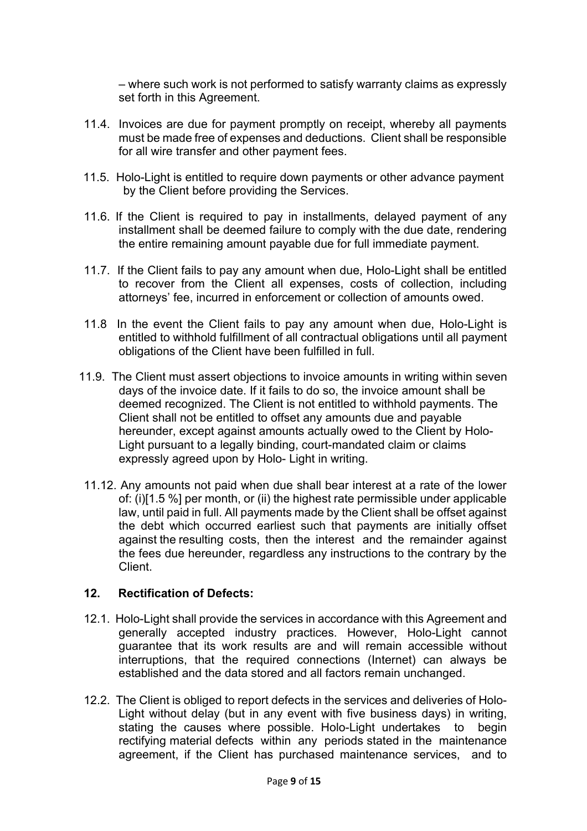– where such work is not performed to satisfy warranty claims as expressly set forth in this Agreement.

- 11.4. Invoices are due for payment promptly on receipt, whereby all payments must be made free of expenses and deductions. Client shall be responsible for all wire transfer and other payment fees.
- 11.5. Holo-Light is entitled to require down payments or other advance payment by the Client before providing the Services.
- 11.6. If the Client is required to pay in installments, delayed payment of any installment shall be deemed failure to comply with the due date, rendering the entire remaining amount payable due for full immediate payment.
- 11.7. If the Client fails to pay any amount when due, Holo-Light shall be entitled to recover from the Client all expenses, costs of collection, including attorneys' fee, incurred in enforcement or collection of amounts owed.
- 11.8 In the event the Client fails to pay any amount when due, Holo-Light is entitled to withhold fulfillment of all contractual obligations until all payment obligations of the Client have been fulfilled in full.
- 11.9. The Client must assert objections to invoice amounts in writing within seven days of the invoice date. If it fails to do so, the invoice amount shall be deemed recognized. The Client is not entitled to withhold payments. The Client shall not be entitled to offset any amounts due and payable hereunder, except against amounts actually owed to the Client by Holo-Light pursuant to a legally binding, court-mandated claim or claims expressly agreed upon by Holo- Light in writing.
	- 11.12. Any amounts not paid when due shall bear interest at a rate of the lower of: (i)[1.5 %] per month, or (ii) the highest rate permissible under applicable law, until paid in full. All payments made by the Client shall be offset against the debt which occurred earliest such that payments are initially offset against the resulting costs, then the interest and the remainder against the fees due hereunder, regardless any instructions to the contrary by the Client.

### **12. Rectification of Defects:**

- 12.1. Holo-Light shall provide the services in accordance with this Agreement and generally accepted industry practices. However, Holo-Light cannot guarantee that its work results are and will remain accessible without interruptions, that the required connections (Internet) can always be established and the data stored and all factors remain unchanged.
- 12.2. The Client is obliged to report defects in the services and deliveries of Holo-Light without delay (but in any event with five business days) in writing, stating the causes where possible. Holo-Light undertakes to begin rectifying material defects within any periods stated in the maintenance agreement, if the Client has purchased maintenance services, and to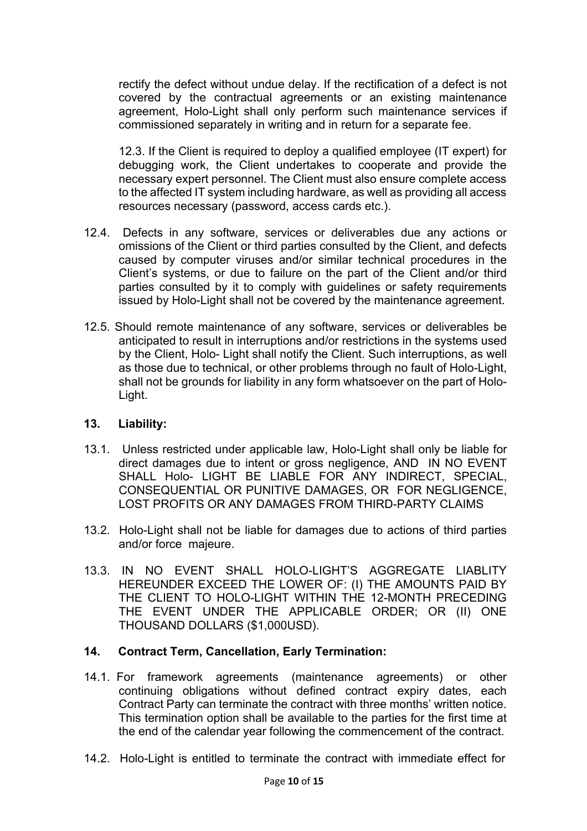rectify the defect without undue delay. If the rectification of a defect is not covered by the contractual agreements or an existing maintenance agreement, Holo-Light shall only perform such maintenance services if commissioned separately in writing and in return for a separate fee.

12.3. If the Client is required to deploy a qualified employee (IT expert) for debugging work, the Client undertakes to cooperate and provide the necessary expert personnel. The Client must also ensure complete access to the affected IT system including hardware, as well as providing all access resources necessary (password, access cards etc.).

- 12.4. Defects in any software, services or deliverables due any actions or omissions of the Client or third parties consulted by the Client, and defects caused by computer viruses and/or similar technical procedures in the Client's systems, or due to failure on the part of the Client and/or third parties consulted by it to comply with guidelines or safety requirements issued by Holo-Light shall not be covered by the maintenance agreement.
- 12.5. Should remote maintenance of any software, services or deliverables be anticipated to result in interruptions and/or restrictions in the systems used by the Client, Holo- Light shall notify the Client. Such interruptions, as well as those due to technical, or other problems through no fault of Holo-Light, shall not be grounds for liability in any form whatsoever on the part of Holo-Light.

### **13. Liability:**

- 13.1. Unless restricted under applicable law, Holo-Light shall only be liable for direct damages due to intent or gross negligence, AND IN NO EVENT SHALL Holo- LIGHT BE LIABLE FOR ANY INDIRECT, SPECIAL, CONSEQUENTIAL OR PUNITIVE DAMAGES, OR FOR NEGLIGENCE, LOST PROFITS OR ANY DAMAGES FROM THIRD-PARTY CLAIMS
- 13.2. Holo-Light shall not be liable for damages due to actions of third parties and/or force majeure.
- 13.3. IN NO EVENT SHALL HOLO-LIGHT'S AGGREGATE LIABLITY HEREUNDER EXCEED THE LOWER OF: (I) THE AMOUNTS PAID BY THE CLIENT TO HOLO-LIGHT WITHIN THE 12-MONTH PRECEDING THE EVENT UNDER THE APPLICABLE ORDER; OR (II) ONE THOUSAND DOLLARS (\$1,000USD).

### **14. Contract Term, Cancellation, Early Termination:**

- 14.1. For framework agreements (maintenance agreements) or other continuing obligations without defined contract expiry dates, each Contract Party can terminate the contract with three months' written notice. This termination option shall be available to the parties for the first time at the end of the calendar year following the commencement of the contract.
- 14.2. Holo-Light is entitled to terminate the contract with immediate effect for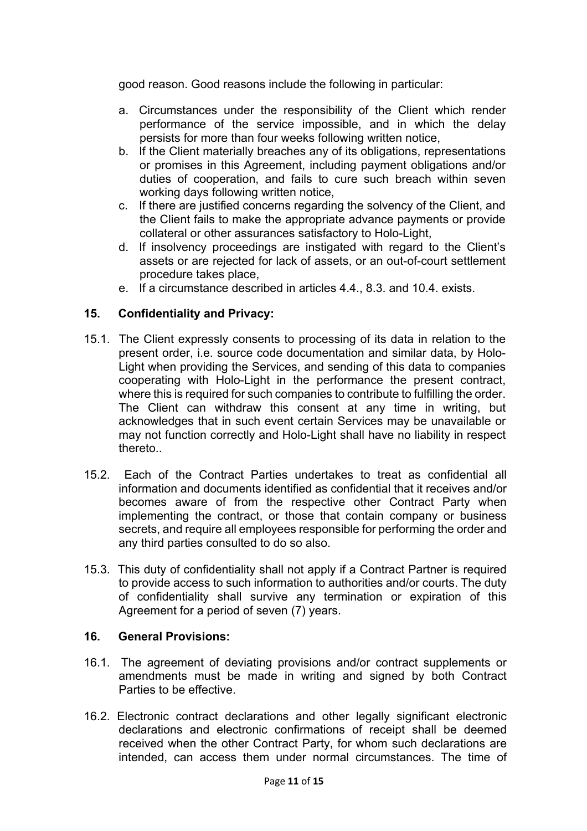good reason. Good reasons include the following in particular:

- a. Circumstances under the responsibility of the Client which render performance of the service impossible, and in which the delay persists for more than four weeks following written notice,
- b. If the Client materially breaches any of its obligations, representations or promises in this Agreement, including payment obligations and/or duties of cooperation, and fails to cure such breach within seven working days following written notice,
- c. If there are justified concerns regarding the solvency of the Client, and the Client fails to make the appropriate advance payments or provide collateral or other assurances satisfactory to Holo-Light,
- d. If insolvency proceedings are instigated with regard to the Client's assets or are rejected for lack of assets, or an out-of-court settlement procedure takes place,
- e. If a circumstance described in articles 4.4., 8.3. and 10.4. exists.

### **15. Confidentiality and Privacy:**

- 15.1. The Client expressly consents to processing of its data in relation to the present order, i.e. source code documentation and similar data, by Holo-Light when providing the Services, and sending of this data to companies cooperating with Holo-Light in the performance the present contract, where this is required for such companies to contribute to fulfilling the order. The Client can withdraw this consent at any time in writing, but acknowledges that in such event certain Services may be unavailable or may not function correctly and Holo-Light shall have no liability in respect thereto..
- 15.2. Each of the Contract Parties undertakes to treat as confidential all information and documents identified as confidential that it receives and/or becomes aware of from the respective other Contract Party when implementing the contract, or those that contain company or business secrets, and require all employees responsible for performing the order and any third parties consulted to do so also.
- 15.3. This duty of confidentiality shall not apply if a Contract Partner is required to provide access to such information to authorities and/or courts. The duty of confidentiality shall survive any termination or expiration of this Agreement for a period of seven (7) years.

### **16. General Provisions:**

- 16.1. The agreement of deviating provisions and/or contract supplements or amendments must be made in writing and signed by both Contract Parties to be effective.
- 16.2. Electronic contract declarations and other legally significant electronic declarations and electronic confirmations of receipt shall be deemed received when the other Contract Party, for whom such declarations are intended, can access them under normal circumstances. The time of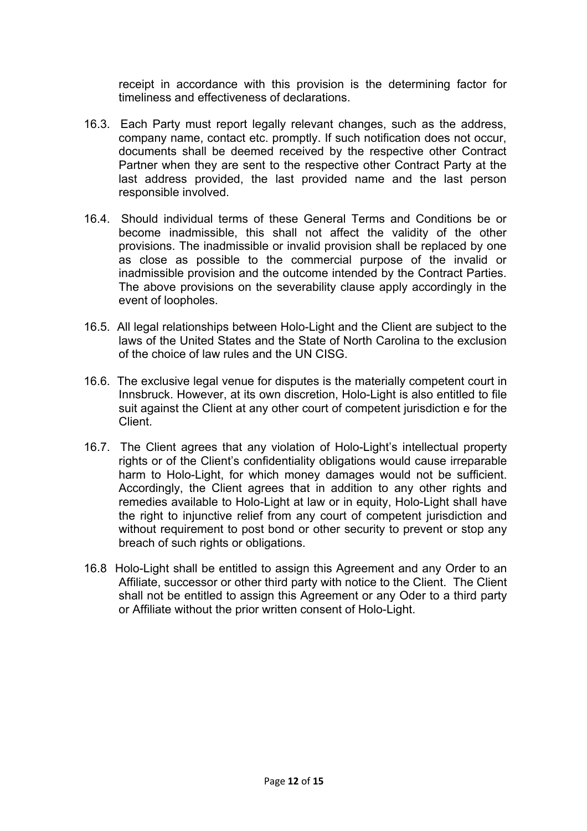receipt in accordance with this provision is the determining factor for timeliness and effectiveness of declarations.

- 16.3. Each Party must report legally relevant changes, such as the address, company name, contact etc. promptly. If such notification does not occur, documents shall be deemed received by the respective other Contract Partner when they are sent to the respective other Contract Party at the last address provided, the last provided name and the last person responsible involved.
- 16.4. Should individual terms of these General Terms and Conditions be or become inadmissible, this shall not affect the validity of the other provisions. The inadmissible or invalid provision shall be replaced by one as close as possible to the commercial purpose of the invalid or inadmissible provision and the outcome intended by the Contract Parties. The above provisions on the severability clause apply accordingly in the event of loopholes.
- 16.5. All legal relationships between Holo-Light and the Client are subject to the laws of the United States and the State of North Carolina to the exclusion of the choice of law rules and the UN CISG.
- 16.6. The exclusive legal venue for disputes is the materially competent court in Innsbruck. However, at its own discretion, Holo-Light is also entitled to file suit against the Client at any other court of competent jurisdiction e for the Client.
- 16.7. The Client agrees that any violation of Holo-Light's intellectual property rights or of the Client's confidentiality obligations would cause irreparable harm to Holo-Light, for which money damages would not be sufficient. Accordingly, the Client agrees that in addition to any other rights and remedies available to Holo-Light at law or in equity, Holo-Light shall have the right to injunctive relief from any court of competent jurisdiction and without requirement to post bond or other security to prevent or stop any breach of such rights or obligations.
- 16.8 Holo-Light shall be entitled to assign this Agreement and any Order to an Affiliate, successor or other third party with notice to the Client. The Client shall not be entitled to assign this Agreement or any Oder to a third party or Affiliate without the prior written consent of Holo-Light.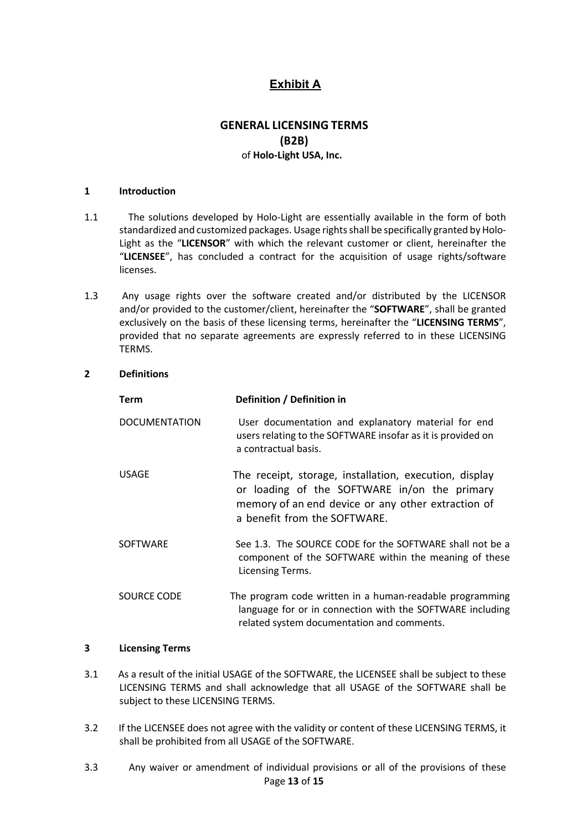## **Exhibit A**

### **GENERAL LICENSING TERMS (B2B)** of **Holo-Light USA, Inc.**

#### **1 Introduction**

- 1.1 The solutions developed by Holo-Light are essentially available in the form of both standardized and customized packages. Usage rights shall be specifically granted by Holo-Light as the "**LICENSOR**" with which the relevant customer or client, hereinafter the "**LICENSEE**", has concluded a contract for the acquisition of usage rights/software licenses.
- 1.3 Any usage rights over the software created and/or distributed by the LICENSOR and/or provided to the customer/client, hereinafter the "**SOFTWARE**", shall be granted exclusively on the basis of these licensing terms, hereinafter the "**LICENSING TERMS**", provided that no separate agreements are expressly referred to in these LICENSING TERMS.

#### **2 Definitions**

| Term                 | Definition / Definition in                                                                                                                                                                   |
|----------------------|----------------------------------------------------------------------------------------------------------------------------------------------------------------------------------------------|
| <b>DOCUMENTATION</b> | User documentation and explanatory material for end<br>users relating to the SOFTWARE insofar as it is provided on<br>a contractual basis.                                                   |
| <b>USAGE</b>         | The receipt, storage, installation, execution, display<br>or loading of the SOFTWARE in/on the primary<br>memory of an end device or any other extraction of<br>a benefit from the SOFTWARE. |
| <b>SOFTWARE</b>      | See 1.3. The SOURCE CODE for the SOFTWARE shall not be a<br>component of the SOFTWARE within the meaning of these<br>Licensing Terms.                                                        |
| SOURCE CODE          | The program code written in a human-readable programming<br>language for or in connection with the SOFTWARE including<br>related system documentation and comments.                          |

#### **3 Licensing Terms**

- 3.1 As a result of the initial USAGE of the SOFTWARE, the LICENSEE shall be subject to these LICENSING TERMS and shall acknowledge that all USAGE of the SOFTWARE shall be subject to these LICENSING TERMS.
- 3.2 If the LICENSEE does not agree with the validity or content of these LICENSING TERMS, it shall be prohibited from all USAGE of the SOFTWARE.
- Page **13** of **15** 3.3 Any waiver or amendment of individual provisions or all of the provisions of these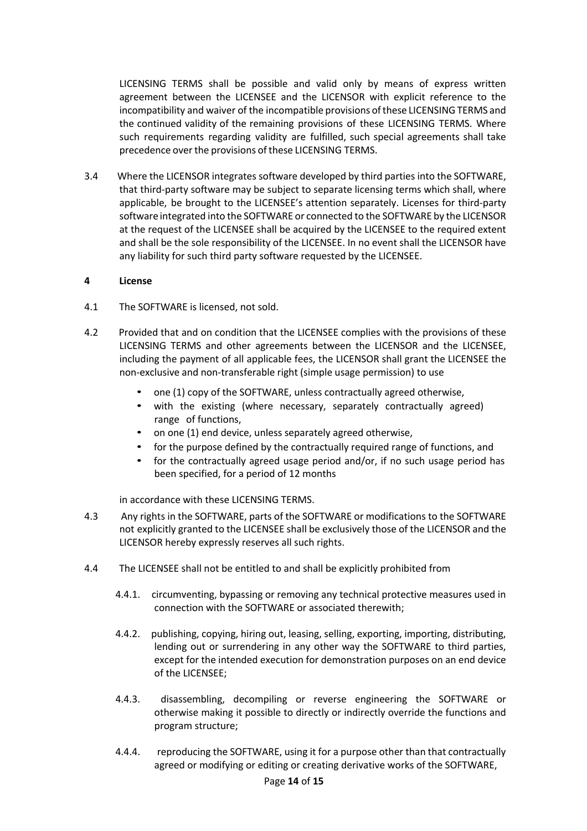LICENSING TERMS shall be possible and valid only by means of express written agreement between the LICENSEE and the LICENSOR with explicit reference to the incompatibility and waiver of the incompatible provisions ofthese LICENSINGTERMS and the continued validity of the remaining provisions of these LICENSING TERMS. Where such requirements regarding validity are fulfilled, such special agreements shall take precedence over the provisions of these LICENSING TERMS.

3.4 Where the LICENSOR integrates software developed by third parties into the SOFTWARE, that third-party software may be subject to separate licensing terms which shall, where applicable, be brought to the LICENSEE's attention separately. Licenses for third-party software integrated into the SOFTWARE or connected to the SOFTWARE by the LICENSOR at the request of the LICENSEE shall be acquired by the LICENSEE to the required extent and shall be the sole responsibility of the LICENSEE. In no event shall the LICENSOR have any liability for such third party software requested by the LICENSEE.

#### **4 License**

- 4.1 The SOFTWARE is licensed, not sold.
- 4.2 Provided that and on condition that the LICENSEE complies with the provisions of these LICENSING TERMS and other agreements between the LICENSOR and the LICENSEE, including the payment of all applicable fees, the LICENSOR shall grant the LICENSEE the non-exclusive and non-transferable right (simple usage permission) to use
	- one (1) copy of the SOFTWARE, unless contractually agreed otherwise,
	- with the existing (where necessary, separately contractually agreed) range of functions,
	- on one (1) end device, unless separately agreed otherwise,
	- for the purpose defined by the contractually required range of functions, and
	- for the contractually agreed usage period and/or, if no such usage period has been specified, for a period of 12 months

in accordance with these LICENSING TERMS.

- 4.3 Any rights in the SOFTWARE, parts of the SOFTWARE or modifications to the SOFTWARE not explicitly granted to the LICENSEE shall be exclusively those of the LICENSOR and the LICENSOR hereby expressly reserves all such rights.
- 4.4 The LICENSEE shall not be entitled to and shall be explicitly prohibited from
	- 4.4.1. circumventing, bypassing or removing any technical protective measures used in connection with the SOFTWARE or associated therewith;
	- 4.4.2. publishing, copying, hiring out, leasing, selling, exporting, importing, distributing, lending out or surrendering in any other way the SOFTWARE to third parties, except for the intended execution for demonstration purposes on an end device of the LICENSEE;
	- 4.4.3. disassembling, decompiling or reverse engineering the SOFTWARE or otherwise making it possible to directly or indirectly override the functions and program structure;
	- 4.4.4. reproducing the SOFTWARE, using it for a purpose other than that contractually agreed or modifying or editing or creating derivative works of the SOFTWARE,